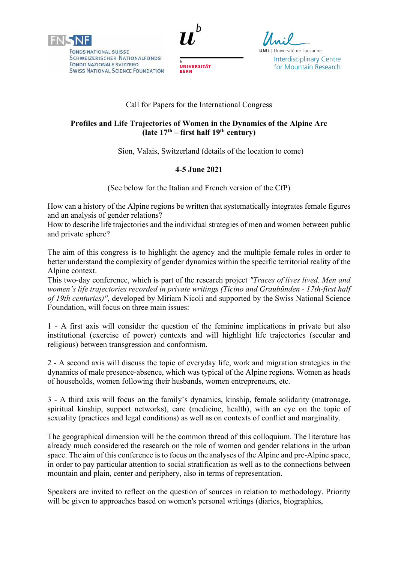

**FONDS NATIONAL SUISSE SCHWEIZERISCHER NATIONALFONDS** FONDO NAZIONALE SVIZZERO **SWISS NATIONAL SCIENCE FOUNDATION** 



**UNIVERSITÄT** 

**BERN** 

**UNIL** | Université de Lausanne **Interdisciplinary Centre** for Mountain Research

# Call for Papers for the International Congress

# **Profiles and Life Trajectories of Women in the Dynamics of the Alpine Arc (late 17th – first half 19th century)**

Sion, Valais, Switzerland (details of the location to come)

# **4-5 June 2021**

(See below for the Italian and French version of the CfP)

How can a history of the Alpine regions be written that systematically integrates female figures and an analysis of gender relations?

How to describe life trajectories and the individual strategies of men and women between public and private sphere?

The aim of this congress is to highlight the agency and the multiple female roles in order to better understand the complexity of gender dynamics within the specific territorial reality of the Alpine context.

This two-day conference, which is part of the research project *"Traces of lives lived. Men and women's life trajectories recorded in private writings (Ticino and Graubünden - 17th-first half of 19th centuries)"*, developed by Miriam Nicoli and supported by the Swiss National Science Foundation, will focus on three main issues:

1 - A first axis will consider the question of the feminine implications in private but also institutional (exercise of power) contexts and will highlight life trajectories (secular and religious) between transgression and conformism.

2 - A second axis will discuss the topic of everyday life, work and migration strategies in the dynamics of male presence-absence, which was typical of the Alpine regions. Women as heads of households, women following their husbands, women entrepreneurs, etc.

3 - A third axis will focus on the family's dynamics, kinship, female solidarity (matronage, spiritual kinship, support networks), care (medicine, health), with an eye on the topic of sexuality (practices and legal conditions) as well as on contexts of conflict and marginality.

The geographical dimension will be the common thread of this colloquium. The literature has already much considered the research on the role of women and gender relations in the urban space. The aim of this conference is to focus on the analyses of the Alpine and pre-Alpine space, in order to pay particular attention to social stratification as well as to the connections between mountain and plain, center and periphery, also in terms of representation.

Speakers are invited to reflect on the question of sources in relation to methodology. Priority will be given to approaches based on women's personal writings (diaries, biographies,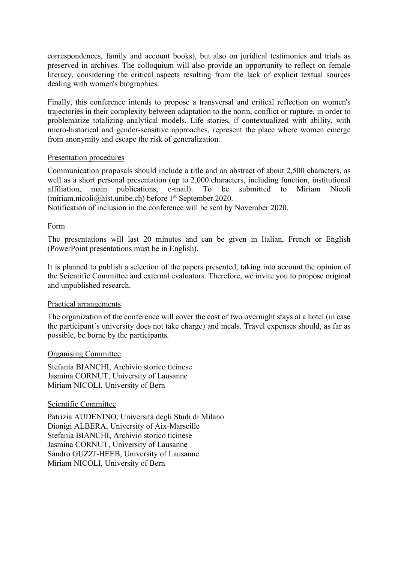correspondences, family and account books), but also on juridical testimonies and trials as preserved in archives. The colloquium will also provide an opportunity to reflect on female literacy, considering the critical aspects resulting from the lack of explicit textual sources dealing with women's biographies.

Finally, this conference intends to propose a transversal and critical reflection on women's trajectories in their complexity between adaptation to the norm, conflict or rupture, in order to problematize totalizing analytical models. Life stories, if contextualized with ability, with micro-historical and gender-sensitive approaches, represent the place where women emerge from anonymity and escape the risk of generalization.

### Presentation procedures

Communication proposals should include a title and an abstract of about 2,500 characters, as well as a short personal presentation (up to 2,000 characters, including function, institutional affiliation, main publications, e-mail). To be submitted to Miriam Nicoli (miriam.nicoli@hist.unibe.ch) before  $1<sup>st</sup>$  September 2020.

Notification of inclusion in the conference will be sent by November 2020.

### Form

The presentations will last 20 minutes and can be given in Italian, French or English (PowerPoint presentations must be in English).

It is planned to publish a selection of the papers presented, taking into account the opinion of the Scientific Committee and external evaluators. Therefore, we invite you to propose original and unpublished research.

### Practical arrangements

The organization of the conference will cover the cost of two overnight stays at a hotel (in case the participant´s university does not take charge) and meals. Travel expenses should, as far as possible, be borne by the participants.

### Organising Committee

Stefania BIANCHI, Archivio storico ticinese Jasmina CORNUT, University of Lausanne Miriam NICOLI, University of Bern

### Scientific Committee

Patrizia AUDENINO, Università degli Studi di Milano Dionigi ALBERA, University of Aix-Marseille Stefania BIANCHI, Archivio storico ticinese Jasmina CORNUT, University of Lausanne Sandro GUZZI-HEEB, University of Lausanne Miriam NICOLI, University of Bern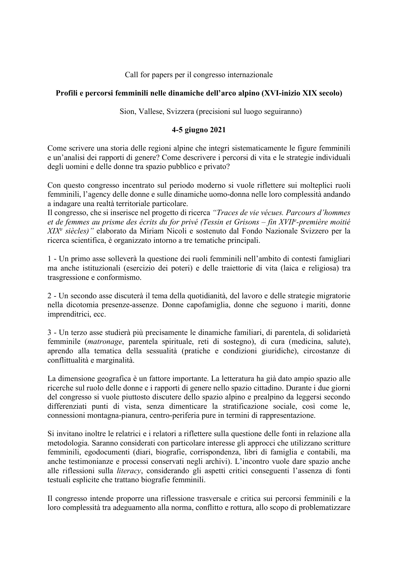Call for papers per il congresso internazionale

# **Profili e percorsi femminili nelle dinamiche dell'arco alpino (XVI-inizio XIX secolo)**

Sion, Vallese, Svizzera (precisioni sul luogo seguiranno)

### **4-5 giugno 2021**

Come scrivere una storia delle regioni alpine che integri sistematicamente le figure femminili e un'analisi dei rapporti di genere? Come descrivere i percorsi di vita e le strategie individuali degli uomini e delle donne tra spazio pubblico e privato?

Con questo congresso incentrato sul periodo moderno si vuole riflettere sui molteplici ruoli femminili, l'agency delle donne e sulle dinamiche uomo-donna nelle loro complessità andando a indagare una realtà territoriale particolare.

Il congresso, che si inserisce nel progetto di ricerca *"Traces de vie vécues. Parcours d'hommes et de femmes au prisme des écrits du for privé (Tessin et Grisons – fin XVIIe -première moitié XIXe siècles)"* elaborato da Miriam Nicoli e sostenuto dal Fondo Nazionale Svizzero per la ricerca scientifica, è organizzato intorno a tre tematiche principali.

1 - Un primo asse solleverà la questione dei ruoli femminili nell'ambito di contesti famigliari ma anche istituzionali (esercizio dei poteri) e delle traiettorie di vita (laica e religiosa) tra trasgressione e conformismo.

2 - Un secondo asse discuterà il tema della quotidianità, del lavoro e delle strategie migratorie nella dicotomia presenze-assenze. Donne capofamiglia, donne che seguono i mariti, donne imprenditrici, ecc.

3 - Un terzo asse studierà più precisamente le dinamiche familiari, di parentela, di solidarietà femminile (*matronage*, parentela spirituale, reti di sostegno), di cura (medicina, salute), aprendo alla tematica della sessualità (pratiche e condizioni giuridiche), circostanze di conflittualità e marginalità.

La dimensione geografica è un fattore importante. La letteratura ha già dato ampio spazio alle ricerche sul ruolo delle donne e i rapporti di genere nello spazio cittadino. Durante i due giorni del congresso si vuole piuttosto discutere dello spazio alpino e prealpino da leggersi secondo differenziati punti di vista, senza dimenticare la stratificazione sociale, così come le, connessioni montagna-pianura, centro-periferia pure in termini di rappresentazione.

Si invitano inoltre le relatrici e i relatori a riflettere sulla questione delle fonti in relazione alla metodologia. Saranno considerati con particolare interesse gli approcci che utilizzano scritture femminili, egodocumenti (diari, biografie, corrispondenza, libri di famiglia e contabili, ma anche testimonianze e processi conservati negli archivi). L'incontro vuole dare spazio anche alle riflessioni sulla *literacy*, considerando gli aspetti critici conseguenti l'assenza di fonti testuali esplicite che trattano biografie femminili.

Il congresso intende proporre una riflessione trasversale e critica sui percorsi femminili e la loro complessità tra adeguamento alla norma, conflitto e rottura, allo scopo di problematizzare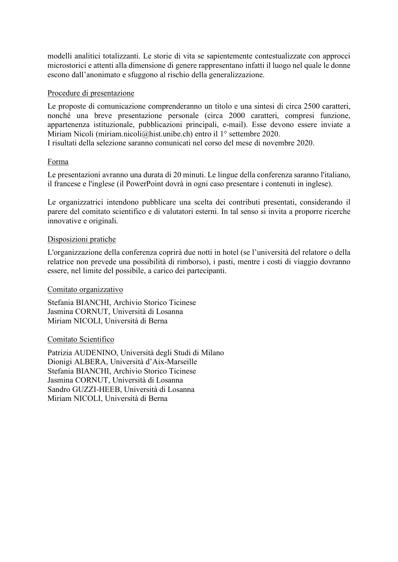modelli analitici totalizzanti. Le storie di vita se sapientemente contestualizzate con approcci microstorici e attenti alla dimensione di genere rappresentano infatti il luogo nel quale le donne escono dall'anonimato e sfuggono al rischio della generalizzazione.

## Procedure di presentazione

Le proposte di comunicazione comprenderanno un titolo e una sintesi di circa 2500 caratteri, nonché una breve presentazione personale (circa 2000 caratteri, compresi funzione, appartenenza istituzionale, pubblicazioni principali, e-mail). Esse devono essere inviate a Miriam Nicoli (miriam.nicoli@hist.unibe.ch) entro il 1° settembre 2020.

I risultati della selezione saranno comunicati nel corso del mese di novembre 2020.

### Forma

Le presentazioni avranno una durata di 20 minuti. Le lingue della conferenza saranno l'italiano, il francese e l'inglese (il PowerPoint dovrà in ogni caso presentare i contenuti in inglese).

Le organizzatrici intendono pubblicare una scelta dei contributi presentati, considerando il parere del comitato scientifico e di valutatori esterni. In tal senso si invita a proporre ricerche innovative e originali.

### Disposizioni pratiche

L'organizzazione della conferenza coprirà due notti in hotel (se l'università del relatore o della relatrice non prevede una possibilità di rimborso), i pasti, mentre i costi di viaggio dovranno essere, nel limite del possibile, a carico dei partecipanti.

### Comitato organizzativo

Stefania BIANCHI, Archivio Storico Ticinese Jasmina CORNUT, Università di Losanna Miriam NICOLI, Università di Berna

### Comitato Scientifico

Patrizia AUDENINO, Università degli Studi di Milano Dionigi ALBERA, Università d'Aix-Marseille Stefania BIANCHI, Archivio Storico Ticinese Jasmina CORNUT, Università di Losanna Sandro GUZZI-HEEB, Università di Losanna Miriam NICOLI, Università di Berna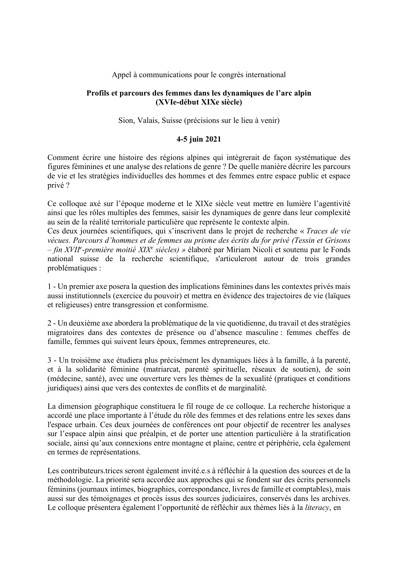### Appel à communications pour le congrès international

### **Profils et parcours des femmes dans les dynamiques de l'arc alpin (XVIe-début XIXe siècle)**

Sion, Valais, Suisse (précisions sur le lieu à venir)

# **4-5 juin 2021**

Comment écrire une histoire des régions alpines qui intègrerait de façon systématique des figures féminines et une analyse des relations de genre ? De quelle manière décrire les parcours de vie et les stratégies individuelles des hommes et des femmes entre espace public et espace privé ?

Ce colloque axé sur l'époque moderne et le XIXe siècle veut mettre en lumière l'agentivité ainsi que les rôles multiples des femmes, saisir les dynamiques de genre dans leur complexité au sein de la réalité territoriale particulière que représente le contexte alpin.

Ces deux journées scientifiques, qui s'inscrivent dans le projet de recherche « *Traces de vie vécues. Parcours d'hommes et de femmes au prisme des écrits du for privé (Tessin et Grisons – fin XVIIe -première moitié XIXe siècles) »* élaboré par Miriam Nicoli et soutenu par le Fonds national suisse de la recherche scientifique, s'articuleront autour de trois grandes problématiques :

1 - Un premier axe posera la question des implications féminines dans les contextes privés mais aussi institutionnels (exercice du pouvoir) et mettra en évidence des trajectoires de vie (laïques et religieuses) entre transgression et conformisme.

2 - Un deuxième axe abordera la problématique de la vie quotidienne, du travail et des stratégies migratoires dans des contextes de présence ou d'absence masculine : femmes cheffes de famille, femmes qui suivent leurs époux, femmes entrepreneures, etc.

3 - Un troisième axe étudiera plus précisément les dynamiques liées à la famille, à la parenté, et à la solidarité féminine (matriarcat, parenté spirituelle, réseaux de soutien), de soin (médecine, santé), avec une ouverture vers les thèmes de la sexualité (pratiques et conditions juridiques) ainsi que vers des contextes de conflits et de marginalité.

La dimension géographique constituera le fil rouge de ce colloque. La recherche historique a accordé une place importante à l'étude du rôle des femmes et des relations entre les sexes dans l'espace urbain. Ces deux journées de conférences ont pour objectif de recentrer les analyses sur l'espace alpin ainsi que préalpin, et de porter une attention particulière à la stratification sociale, ainsi qu'aux connexions entre montagne et plaine, centre et périphérie, cela également en termes de représentations.

Les contributeurs.trices seront également invité.e.s à réfléchir à la question des sources et de la méthodologie. La priorité sera accordée aux approches qui se fondent sur des écrits personnels féminins (journaux intimes, biographies, correspondance, livres de famille et comptables), mais aussi sur des témoignages et procès issus des sources judiciaires, conservés dans les archives. Le colloque présentera également l'opportunité de réfléchir aux thèmes liés à la *literacy*, en